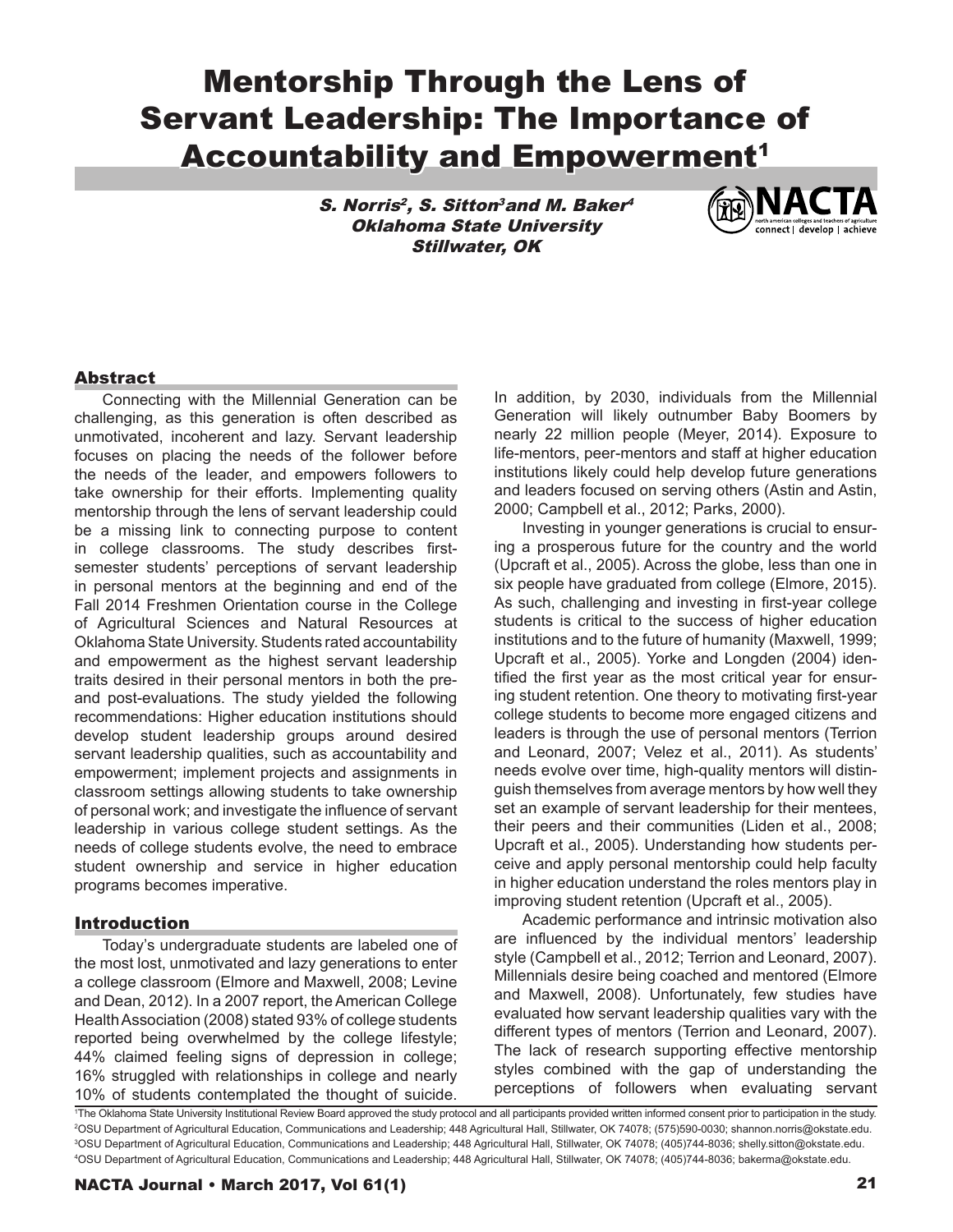# Mentorship Through the Lens of Servant Leadership: The Importance of **Accountability and Empowerment<sup>1</sup>**

S. Norris<sup>2</sup>, S. Sitton<sup>3</sup>and M. Baker<sup>4</sup> Oklahoma State University Stillwater, OK



# Abstract

Connecting with the Millennial Generation can be challenging, as this generation is often described as unmotivated, incoherent and lazy. Servant leadership focuses on placing the needs of the follower before the needs of the leader, and empowers followers to take ownership for their efforts. Implementing quality mentorship through the lens of servant leadership could be a missing link to connecting purpose to content in college classrooms. The study describes firstsemester students' perceptions of servant leadership in personal mentors at the beginning and end of the Fall 2014 Freshmen Orientation course in the College of Agricultural Sciences and Natural Resources at Oklahoma State University. Students rated accountability and empowerment as the highest servant leadership traits desired in their personal mentors in both the preand post-evaluations. The study yielded the following recommendations: Higher education institutions should develop student leadership groups around desired servant leadership qualities, such as accountability and empowerment; implement projects and assignments in classroom settings allowing students to take ownership of personal work; and investigate the influence of servant leadership in various college student settings. As the needs of college students evolve, the need to embrace student ownership and service in higher education programs becomes imperative.

## Introduction

Today's undergraduate students are labeled one of the most lost, unmotivated and lazy generations to enter a college classroom (Elmore and Maxwell, 2008; Levine and Dean, 2012). In a 2007 report, the American College Health Association (2008) stated 93% of college students reported being overwhelmed by the college lifestyle; 44% claimed feeling signs of depression in college; 16% struggled with relationships in college and nearly 10% of students contemplated the thought of suicide.

In addition, by 2030, individuals from the Millennial Generation will likely outnumber Baby Boomers by nearly 22 million people (Meyer, 2014). Exposure to life-mentors, peer-mentors and staff at higher education institutions likely could help develop future generations and leaders focused on serving others (Astin and Astin, 2000; Campbell et al., 2012; Parks, 2000).

Investing in younger generations is crucial to ensuring a prosperous future for the country and the world (Upcraft et al., 2005). Across the globe, less than one in six people have graduated from college (Elmore, 2015). As such, challenging and investing in first-year college students is critical to the success of higher education institutions and to the future of humanity (Maxwell, 1999; Upcraft et al., 2005). Yorke and Longden (2004) identified the first year as the most critical year for ensuring student retention. One theory to motivating first-year college students to become more engaged citizens and leaders is through the use of personal mentors (Terrion and Leonard, 2007; Velez et al., 2011). As students' needs evolve over time, high-quality mentors will distinguish themselves from average mentors by how well they set an example of servant leadership for their mentees, their peers and their communities (Liden et al., 2008; Upcraft et al., 2005). Understanding how students perceive and apply personal mentorship could help faculty in higher education understand the roles mentors play in improving student retention (Upcraft et al., 2005).

Academic performance and intrinsic motivation also are influenced by the individual mentors' leadership style (Campbell et al., 2012; Terrion and Leonard, 2007). Millennials desire being coached and mentored (Elmore and Maxwell, 2008). Unfortunately, few studies have evaluated how servant leadership qualities vary with the different types of mentors (Terrion and Leonard, 2007). The lack of research supporting effective mentorship styles combined with the gap of understanding the perceptions of followers when evaluating servant

 The Oklahoma State University Institutional Review Board approved the study protocol and all participants provided written informed consent prior to participation in the study. OSU Department of Agricultural Education, Communications and Leadership; 448 Agricultural Hall, Stillwater, OK 74078; (575)590-0030; shannon.norris@okstate.edu. OSU Department of Agricultural Education, Communications and Leadership; 448 Agricultural Hall, Stillwater, OK 74078; (405)744-8036; shelly.sitton@okstate.edu. OSU Department of Agricultural Education, Communications and Leadership; 448 Agricultural Hall, Stillwater, OK 74078; (405)744-8036; bakerma@okstate.edu.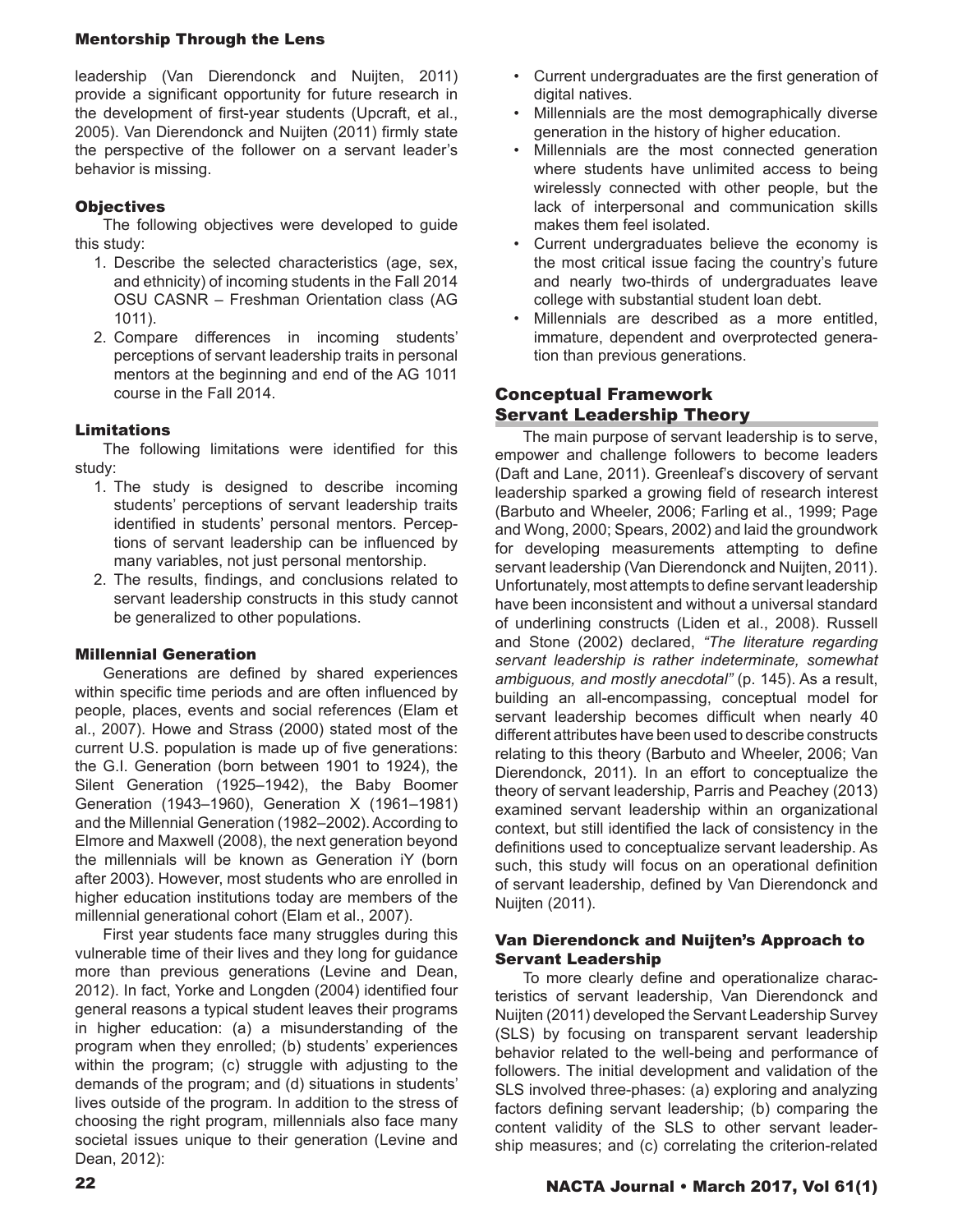# Mentorship Through the Lens

leadership (Van Dierendonck and Nuijten, 2011) provide a significant opportunity for future research in the development of first-year students (Upcraft, et al., 2005). Van Dierendonck and Nuijten (2011) firmly state the perspective of the follower on a servant leader's behavior is missing.

# **Objectives**

The following objectives were developed to guide this study:

- 1. Describe the selected characteristics (age, sex, and ethnicity) of incoming students in the Fall 2014 OSU CASNR – Freshman Orientation class (AG 1011).
- 2. Compare differences in incoming students' perceptions of servant leadership traits in personal mentors at the beginning and end of the AG 1011 course in the Fall 2014.

## Limitations

The following limitations were identified for this study:

- 1. The study is designed to describe incoming students' perceptions of servant leadership traits identified in students' personal mentors. Perceptions of servant leadership can be influenced by many variables, not just personal mentorship.
- 2. The results, findings, and conclusions related to servant leadership constructs in this study cannot be generalized to other populations.

## Millennial Generation

Generations are defined by shared experiences within specific time periods and are often influenced by people, places, events and social references (Elam et al., 2007). Howe and Strass (2000) stated most of the current U.S. population is made up of five generations: the G.I. Generation (born between 1901 to 1924), the Silent Generation (1925–1942), the Baby Boomer Generation (1943–1960), Generation X (1961–1981) and the Millennial Generation (1982–2002). According to Elmore and Maxwell (2008), the next generation beyond the millennials will be known as Generation iY (born after 2003). However, most students who are enrolled in higher education institutions today are members of the millennial generational cohort (Elam et al., 2007).

First year students face many struggles during this vulnerable time of their lives and they long for guidance more than previous generations (Levine and Dean, 2012). In fact, Yorke and Longden (2004) identified four general reasons a typical student leaves their programs in higher education: (a) a misunderstanding of the program when they enrolled; (b) students' experiences within the program; (c) struggle with adjusting to the demands of the program; and (d) situations in students' lives outside of the program. In addition to the stress of choosing the right program, millennials also face many societal issues unique to their generation (Levine and Dean, 2012):

- Current undergraduates are the first generation of digital natives.
- Millennials are the most demographically diverse generation in the history of higher education.
- Millennials are the most connected generation where students have unlimited access to being wirelessly connected with other people, but the lack of interpersonal and communication skills makes them feel isolated.
- Current undergraduates believe the economy is the most critical issue facing the country's future and nearly two-thirds of undergraduates leave college with substantial student loan debt.
- Millennials are described as a more entitled, immature, dependent and overprotected generation than previous generations.

# Conceptual Framework Servant Leadership Theory

The main purpose of servant leadership is to serve, empower and challenge followers to become leaders (Daft and Lane, 2011). Greenleaf's discovery of servant leadership sparked a growing field of research interest (Barbuto and Wheeler, 2006; Farling et al., 1999; Page and Wong, 2000; Spears, 2002) and laid the groundwork for developing measurements attempting to define servant leadership (Van Dierendonck and Nuijten, 2011). Unfortunately, most attempts to define servant leadership have been inconsistent and without a universal standard of underlining constructs (Liden et al., 2008). Russell and Stone (2002) declared, *"The literature regarding servant leadership is rather indeterminate, somewhat ambiguous, and mostly anecdotal"* (p. 145). As a result, building an all-encompassing, conceptual model for servant leadership becomes difficult when nearly 40 different attributes have been used to describe constructs relating to this theory (Barbuto and Wheeler, 2006; Van Dierendonck, 2011). In an effort to conceptualize the theory of servant leadership, Parris and Peachey (2013) examined servant leadership within an organizational context, but still identified the lack of consistency in the definitions used to conceptualize servant leadership. As such, this study will focus on an operational definition of servant leadership, defined by Van Dierendonck and Nuijten (2011).

## Van Dierendonck and Nuijten's Approach to Servant Leadership

To more clearly define and operationalize characteristics of servant leadership, Van Dierendonck and Nuijten (2011) developed the Servant Leadership Survey (SLS) by focusing on transparent servant leadership behavior related to the well-being and performance of followers. The initial development and validation of the SLS involved three-phases: (a) exploring and analyzing factors defining servant leadership; (b) comparing the content validity of the SLS to other servant leadership measures; and (c) correlating the criterion-related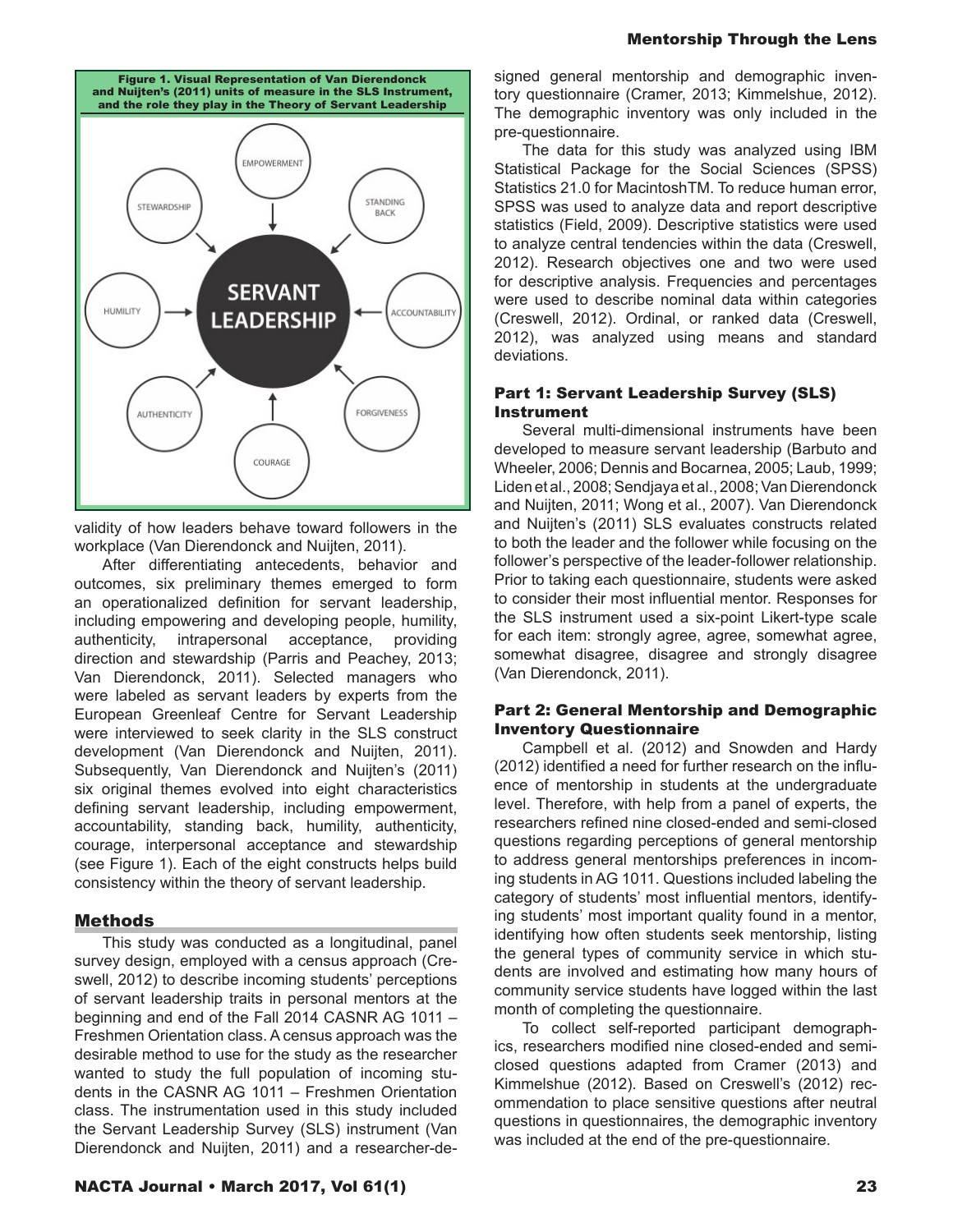

validity of how leaders behave toward followers in the workplace (Van Dierendonck and Nuijten, 2011). To

After differentiating antecedents, behavior and outcomes, six preliminary themes emerged to form an operationalized definition for servant leadership, including empowering and developing people, humility, authenticity, intrapersonal acceptance, providing direction and stewardship (Parris and Peachey, 2013; Van Dierendonck, 2011). Selected managers who were labeled as servant leaders by experts from the European Greenleaf Centre for Servant Leadership were interviewed to seek clarity in the SLS construct development (Van Dierendonck and Nuijten, 2011). Subsequently, Van Dierendonck and Nuijten's (2011) six original themes evolved into eight characteristics defining servant leadership, including empowerment, accountability, standing back, humility, authenticity, courage, interpersonal acceptance and stewardship (see Figure 1). Each of the eight constructs helps build consistency within the theory of servant leadership.

## Methods

This study was conducted as a longitudinal, panel survey design, employed with a census approach (Creswell, 2012) to describe incoming students' perceptions of servant leadership traits in personal mentors at the beginning and end of the Fall 2014 CASNR AG 1011 – Freshmen Orientation class. A census approach was the desirable method to use for the study as the researcher wanted to study the full population of incoming students in the CASNR AG 1011 – Freshmen Orientation class. The instrumentation used in this study included the Servant Leadership Survey (SLS) instrument (Van Dierendonck and Nuijten, 2011) and a researcher-designed general mentorship and demographic inventory questionnaire (Cramer, 2013; Kimmelshue, 2012). The demographic inventory was only included in the pre-questionnaire.

The data for this study was analyzed using IBM Statistical Package for the Social Sciences (SPSS) Statistics 21.0 for MacintoshTM. To reduce human error, SPSS was used to analyze data and report descriptive statistics (Field, 2009). Descriptive statistics were used to analyze central tendencies within the data (Creswell, 2012). Research objectives one and two were used for descriptive analysis. Frequencies and percentages were used to describe nominal data within categories (Creswell, 2012). Ordinal, or ranked data (Creswell, 2012), was analyzed using means and standard deviations.

### Part 1: Servant Leadership Survey (SLS) Instrument

Several multi-dimensional instruments have been developed to measure servant leadership (Barbuto and Wheeler, 2006; Dennis and Bocarnea, 2005; Laub, 1999; Liden et al., 2008; Sendjaya et al., 2008; Van Dierendonck and Nuijten, 2011; Wong et al., 2007). Van Dierendonck and Nuijten's (2011) SLS evaluates constructs related to both the leader and the follower while focusing on the follower's perspective of the leader-follower relationship. Prior to taking each questionnaire, students were asked to consider their most influential mentor. Responses for the SLS instrument used a six-point Likert-type scale for each item: strongly agree, agree, somewhat agree, somewhat disagree, disagree and strongly disagree (Van Dierendonck, 2011).

## Part 2: General Mentorship and Demographic Inventory Questionnaire

Campbell et al. (2012) and Snowden and Hardy (2012) identified a need for further research on the influence of mentorship in students at the undergraduate level. Therefore, with help from a panel of experts, the researchers refined nine closed-ended and semi-closed questions regarding perceptions of general mentorship to address general mentorships preferences in incoming students in AG 1011. Questions included labeling the category of students' most influential mentors, identifying students' most important quality found in a mentor, identifying how often students seek mentorship, listing the general types of community service in which students are involved and estimating how many hours of community service students have logged within the last month of completing the questionnaire.

To collect self-reported participant demographics, researchers modified nine closed-ended and semiclosed questions adapted from Cramer (2013) and Kimmelshue (2012). Based on Creswell's (2012) recommendation to place sensitive questions after neutral questions in questionnaires, the demographic inventory was included at the end of the pre-questionnaire.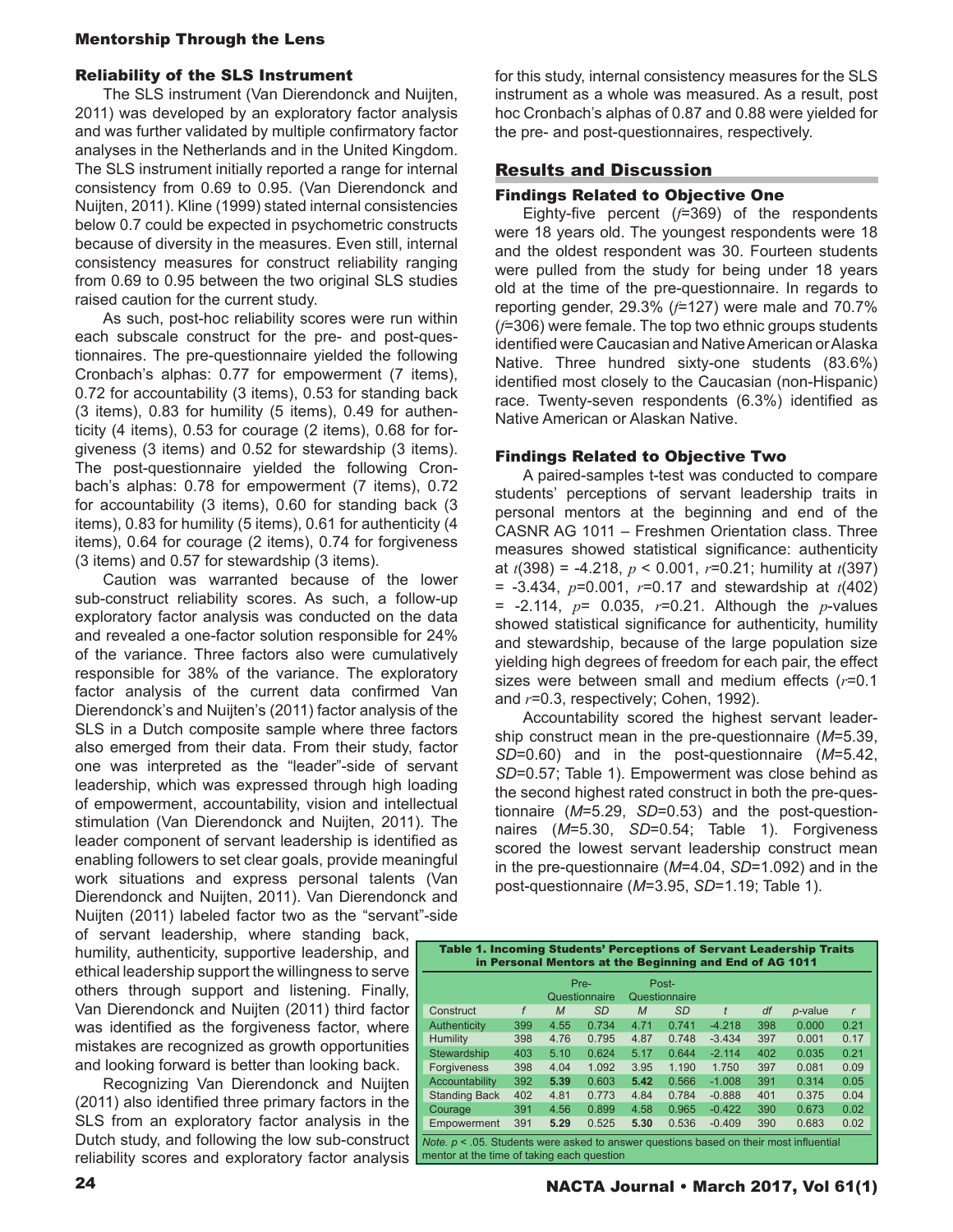## Mentorship Through the Lens

### Reliability of the SLS Instrument

The SLS instrument (Van Dierendonck and Nuijten, 2011) was developed by an exploratory factor analysis and was further validated by multiple confirmatory factor analyses in the Netherlands and in the United Kingdom. The SLS instrument initially reported a range for internal consistency from 0.69 to 0.95. (Van Dierendonck and Nuijten, 2011). Kline (1999) stated internal consistencies below 0.7 could be expected in psychometric constructs because of diversity in the measures. Even still, internal consistency measures for construct reliability ranging from 0.69 to 0.95 between the two original SLS studies raised caution for the current study.

As such, post-hoc reliability scores were run within each subscale construct for the pre- and post-questionnaires. The pre-questionnaire yielded the following Cronbach's alphas: 0.77 for empowerment (7 items), 0.72 for accountability (3 items), 0.53 for standing back (3 items), 0.83 for humility (5 items), 0.49 for authenticity (4 items), 0.53 for courage (2 items), 0.68 for forgiveness (3 items) and 0.52 for stewardship (3 items). The post-questionnaire yielded the following Cronbach's alphas: 0.78 for empowerment (7 items), 0.72 for accountability (3 items), 0.60 for standing back (3 items), 0.83 for humility (5 items), 0.61 for authenticity (4 items), 0.64 for courage (2 items), 0.74 for forgiveness (3 items) and 0.57 for stewardship (3 items).

Caution was warranted because of the lower sub-construct reliability scores. As such, a follow-up exploratory factor analysis was conducted on the data and revealed a one-factor solution responsible for 24% of the variance. Three factors also were cumulatively responsible for 38% of the variance. The exploratory factor analysis of the current data confirmed Van Dierendonck's and Nuijten's (2011) factor analysis of the SLS in a Dutch composite sample where three factors also emerged from their data. From their study, factor one was interpreted as the "leader"-side of servant leadership, which was expressed through high loading of empowerment, accountability, vision and intellectual stimulation (Van Dierendonck and Nuijten, 2011). The leader component of servant leadership is identified as enabling followers to set clear goals, provide meaningful work situations and express personal talents (Van Dierendonck and Nuijten, 2011). Van Dierendonck and Nuijten (2011) labeled factor two as the "servant"-side

of servant leadership, where standing back, humility, authenticity, supportive leadership, and ethical leadership support the willingness to serve others through support and listening. Finally, Van Dierendonck and Nuijten (2011) third factor was identified as the forgiveness factor, where mistakes are recognized as growth opportunities and looking forward is better than looking back.

Recognizing Van Dierendonck and Nuijten (2011) also identified three primary factors in the SLS from an exploratory factor analysis in the Dutch study, and following the low sub-construct reliability scores and exploratory factor analysis for this study, internal consistency measures for the SLS instrument as a whole was measured. As a result, post hoc Cronbach's alphas of 0.87 and 0.88 were yielded for the pre- and post-questionnaires, respectively.

## Results and Discussion

## Findings Related to Objective One

Eighty-five percent (*f*=369) of the respondents were 18 years old. The youngest respondents were 18 and the oldest respondent was 30. Fourteen students were pulled from the study for being under 18 years old at the time of the pre-questionnaire. In regards to reporting gender, 29.3% (*f*=127) were male and 70.7% (*f*=306) were female. The top two ethnic groups students identified were Caucasian and Native American or Alaska Native. Three hundred sixty-one students (83.6%) identified most closely to the Caucasian (non-Hispanic) race. Twenty-seven respondents (6.3%) identified as Native American or Alaskan Native.

#### Findings Related to Objective Two

A paired-samples t-test was conducted to compare students' perceptions of servant leadership traits in personal mentors at the beginning and end of the CASNR AG 1011 – Freshmen Orientation class. Three measures showed statistical significance: authenticity at *t*(398) = -4.218, *p* < 0.001, *r*=0.21; humility at *t*(397) = -3.434, *p*=0.001, *r*=0.17 and stewardship at *t*(402) = -2.114, *p*= 0.035, *r*=0.21. Although the *p*-values showed statistical significance for authenticity, humility and stewardship, because of the large population size yielding high degrees of freedom for each pair, the effect sizes were between small and medium effects (*r*=0.1 and *r*=0.3, respectively; Cohen, 1992).

Accountability scored the highest servant leadership construct mean in the pre-questionnaire (*M*=5.39, *SD*=0.60) and in the post-questionnaire (*M*=5.42, *SD*=0.57; Table 1). Empowerment was close behind as the second highest rated construct in both the pre-questionnaire (*M*=5.29, *SD*=0.53) and the post-questionnaires (*M*=5.30, *SD*=0.54; Table 1). Forgiveness scored the lowest servant leadership construct mean in the pre-questionnaire (*M*=4.04, *SD*=1.092) and in the post-questionnaire (*M*=3.95, *SD*=1.19; Table 1).

| <b>Table 1. Incoming Students' Perceptions of Servant Leadership Traits</b><br>in Personal Mentors at the Beginning and End of AG 1011            |     |                       |           |                        |           |          |     |            |              |
|---------------------------------------------------------------------------------------------------------------------------------------------------|-----|-----------------------|-----------|------------------------|-----------|----------|-----|------------|--------------|
|                                                                                                                                                   |     | Pre-<br>Questionnaire |           | Post-<br>Questionnaire |           |          |     |            |              |
| Construct                                                                                                                                         | f   | M                     | <b>SD</b> | M                      | <b>SD</b> | t        | df  | $p$ -value | $\mathsf{r}$ |
| Authenticity                                                                                                                                      | 399 | 4.55                  | 0.734     | 4.71                   | 0.741     | $-4.218$ | 398 | 0.000      | 0.21         |
| <b>Humility</b>                                                                                                                                   | 398 | 4.76                  | 0.795     | 4.87                   | 0.748     | $-3.434$ | 397 | 0.001      | 0.17         |
| Stewardship                                                                                                                                       | 403 | 5.10                  | 0.624     | 5.17                   | 0.644     | $-2.114$ | 402 | 0.035      | 0.21         |
| <b>Forgiveness</b>                                                                                                                                | 398 | 4.04                  | 1.092     | 3.95                   | 1.190     | 1.750    | 397 | 0.081      | 0.09         |
| Accountability                                                                                                                                    | 392 | 5.39                  | 0.603     | 5.42                   | 0.566     | $-1.008$ | 391 | 0.314      | 0.05         |
| <b>Standing Back</b>                                                                                                                              | 402 | 4.81                  | 0.773     | 4.84                   | 0.784     | $-0.888$ | 401 | 0.375      | 0.04         |
| Courage                                                                                                                                           | 391 | 4.56                  | 0.899     | 4.58                   | 0.965     | $-0.422$ | 390 | 0.673      | 0.02         |
| Empowerment                                                                                                                                       | 391 | 5.29                  | 0.525     | 5.30                   | 0.536     | $-0.409$ | 390 | 0.683      | 0.02         |
| <i>Note.</i> $p \le 0.05$ . Students were asked to answer questions based on their most influential<br>mentor at the time of taking each question |     |                       |           |                        |           |          |     |            |              |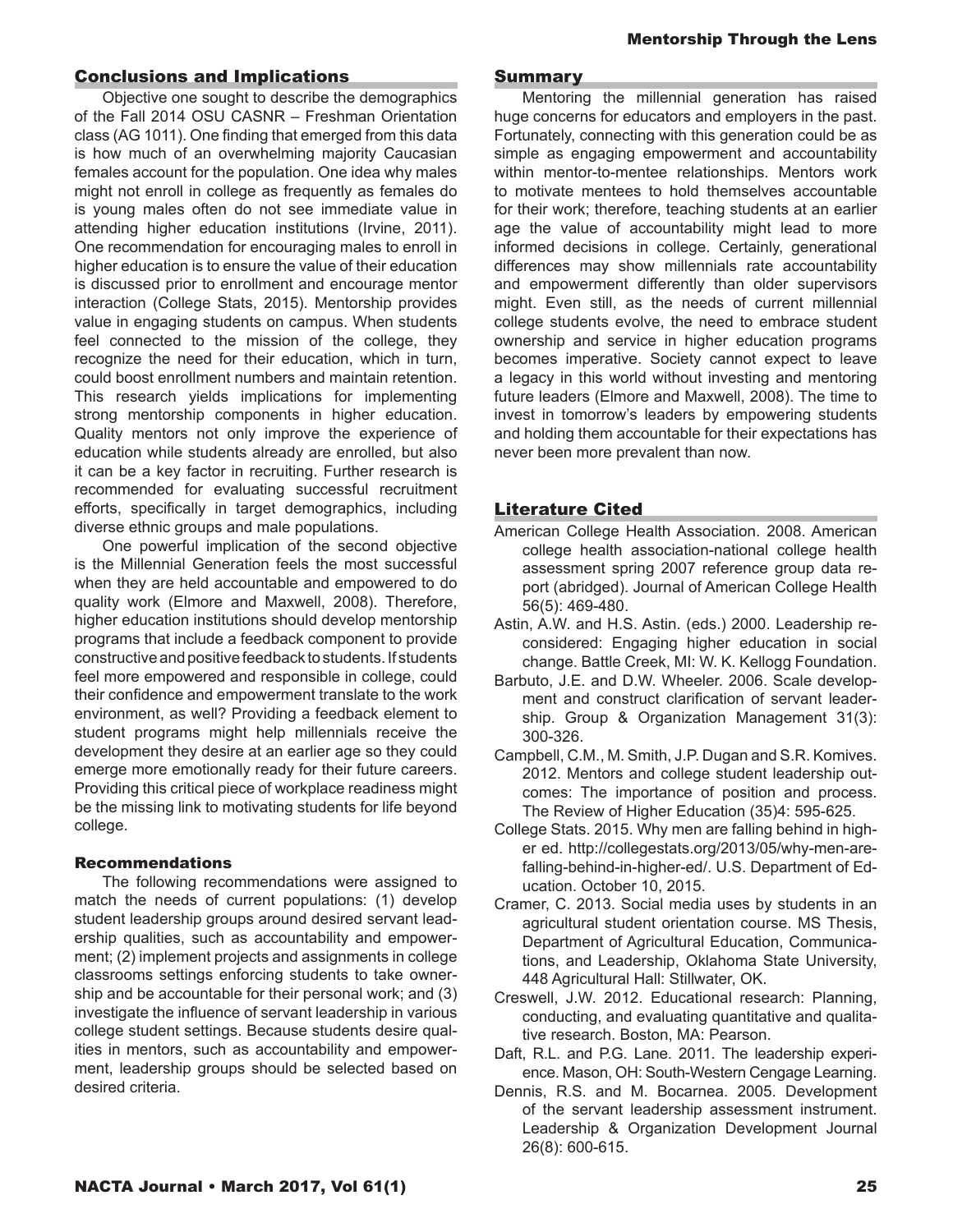# Conclusions and Implications

Objective one sought to describe the demographics of the Fall 2014 OSU CASNR – Freshman Orientation class (AG 1011). One finding that emerged from this data is how much of an overwhelming majority Caucasian females account for the population. One idea why males might not enroll in college as frequently as females do is young males often do not see immediate value in attending higher education institutions (Irvine, 2011). One recommendation for encouraging males to enroll in higher education is to ensure the value of their education is discussed prior to enrollment and encourage mentor interaction (College Stats, 2015). Mentorship provides value in engaging students on campus. When students feel connected to the mission of the college, they recognize the need for their education, which in turn, could boost enrollment numbers and maintain retention. This research yields implications for implementing strong mentorship components in higher education. Quality mentors not only improve the experience of education while students already are enrolled, but also it can be a key factor in recruiting. Further research is recommended for evaluating successful recruitment efforts, specifically in target demographics, including diverse ethnic groups and male populations.

One powerful implication of the second objective is the Millennial Generation feels the most successful when they are held accountable and empowered to do quality work (Elmore and Maxwell, 2008). Therefore, higher education institutions should develop mentorship programs that include a feedback component to provide constructive and positive feedback to students. If students feel more empowered and responsible in college, could their confidence and empowerment translate to the work environment, as well? Providing a feedback element to student programs might help millennials receive the development they desire at an earlier age so they could emerge more emotionally ready for their future careers. Providing this critical piece of workplace readiness might be the missing link to motivating students for life beyond college.

## Recommendations

The following recommendations were assigned to match the needs of current populations: (1) develop student leadership groups around desired servant leadership qualities, such as accountability and empowerment; (2) implement projects and assignments in college classrooms settings enforcing students to take ownership and be accountable for their personal work; and (3) investigate the influence of servant leadership in various college student settings. Because students desire qualities in mentors, such as accountability and empowerment, leadership groups should be selected based on desired criteria.

### **Summary**

Mentoring the millennial generation has raised huge concerns for educators and employers in the past. Fortunately, connecting with this generation could be as simple as engaging empowerment and accountability within mentor-to-mentee relationships. Mentors work to motivate mentees to hold themselves accountable for their work; therefore, teaching students at an earlier age the value of accountability might lead to more informed decisions in college. Certainly, generational differences may show millennials rate accountability and empowerment differently than older supervisors might. Even still, as the needs of current millennial college students evolve, the need to embrace student ownership and service in higher education programs becomes imperative. Society cannot expect to leave a legacy in this world without investing and mentoring future leaders (Elmore and Maxwell, 2008). The time to invest in tomorrow's leaders by empowering students and holding them accountable for their expectations has never been more prevalent than now.

# Literature Cited

- American College Health Association. 2008. American college health association-national college health assessment spring 2007 reference group data report (abridged). Journal of American College Health 56(5): 469-480.
- Astin, A.W. and H.S. Astin. (eds.) 2000. Leadership reconsidered: Engaging higher education in social change. Battle Creek, MI: W. K. Kellogg Foundation.
- Barbuto, J.E. and D.W. Wheeler. 2006. Scale development and construct clarification of servant leadership. Group & Organization Management 31(3): 300-326.
- Campbell, C.M., M. Smith, J.P. Dugan and S.R. Komives. 2012. Mentors and college student leadership outcomes: The importance of position and process. The Review of Higher Education (35)4: 595-625.
- College Stats. 2015. Why men are falling behind in higher ed. http://collegestats.org/2013/05/why-men-arefalling-behind-in-higher-ed/. U.S. Department of Education. October 10, 2015.
- Cramer, C. 2013. Social media uses by students in an agricultural student orientation course. MS Thesis, Department of Agricultural Education, Communications, and Leadership, Oklahoma State University, 448 Agricultural Hall: Stillwater, OK.
- Creswell, J.W. 2012. Educational research: Planning, conducting, and evaluating quantitative and qualitative research. Boston, MA: Pearson.
- Daft, R.L. and P.G. Lane. 2011. The leadership experience. Mason, OH: South-Western Cengage Learning.
- Dennis, R.S. and M. Bocarnea. 2005. Development of the servant leadership assessment instrument. Leadership & Organization Development Journal 26(8): 600-615.